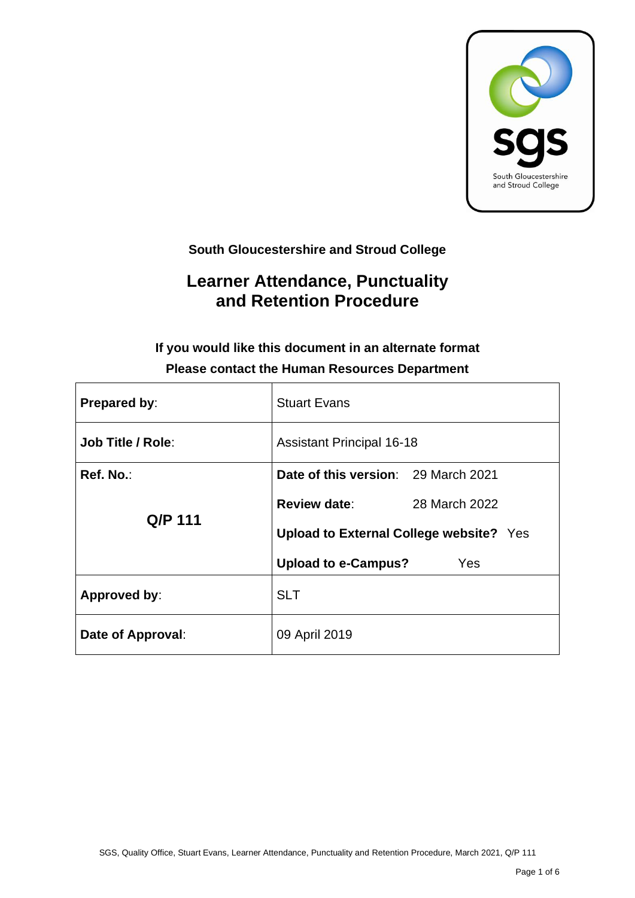

**South Gloucestershire and Stroud College**

# **Learner Attendance, Punctuality and Retention Procedure**

## **If you would like this document in an alternate format Please contact the Human Resources Department**

| Prepared by:             | <b>Stuart Evans</b>                            |  |  |  |  |
|--------------------------|------------------------------------------------|--|--|--|--|
| <b>Job Title / Role:</b> | <b>Assistant Principal 16-18</b>               |  |  |  |  |
| Ref. No.:                | Date of this version: 29 March 2021            |  |  |  |  |
| Q/P 111                  | <b>Review date:</b><br>28 March 2022           |  |  |  |  |
|                          | <b>Upload to External College website?</b> Yes |  |  |  |  |
|                          | <b>Upload to e-Campus?</b><br>Yes              |  |  |  |  |
| Approved by:             | <b>SLT</b>                                     |  |  |  |  |
| Date of Approval:        | 09 April 2019                                  |  |  |  |  |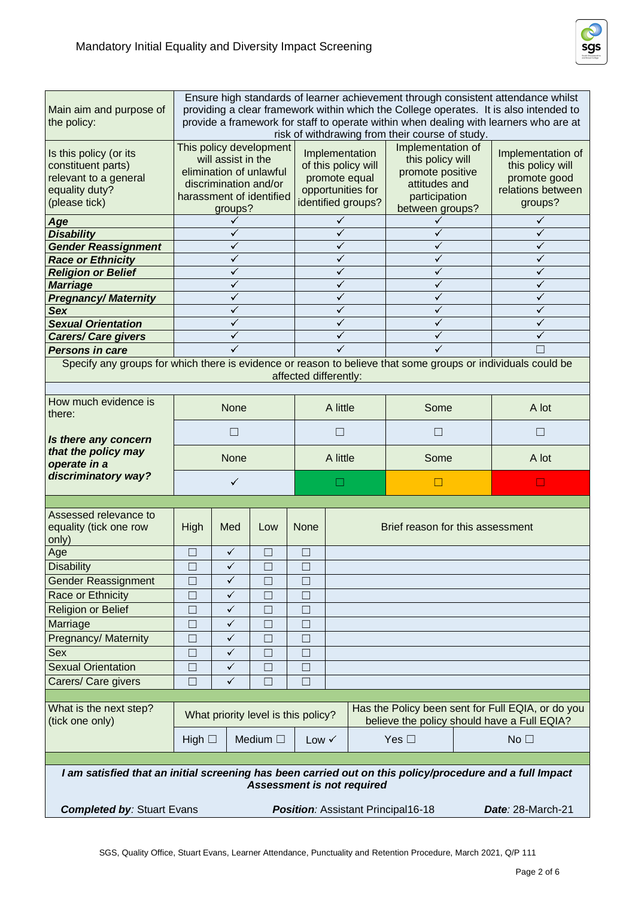

| Main aim and purpose of<br>the policy:                                                                                                | Ensure high standards of learner achievement through consistent attendance whilst<br>providing a clear framework within which the College operates. It is also intended to<br>provide a framework for staff to operate within when dealing with learners who are at<br>risk of withdrawing from their course of study. |              |                                     |                  |          |                                                                                                   |                                                                                                                |       |                                                                                                  |  |
|---------------------------------------------------------------------------------------------------------------------------------------|------------------------------------------------------------------------------------------------------------------------------------------------------------------------------------------------------------------------------------------------------------------------------------------------------------------------|--------------|-------------------------------------|------------------|----------|---------------------------------------------------------------------------------------------------|----------------------------------------------------------------------------------------------------------------|-------|--------------------------------------------------------------------------------------------------|--|
| Is this policy (or its<br>constituent parts)<br>relevant to a general<br>equality duty?<br>(please tick)                              | This policy development<br>will assist in the<br>elimination of unlawful<br>discrimination and/or<br>harassment of identified<br>groups?                                                                                                                                                                               |              |                                     |                  |          | Implementation<br>of this policy will<br>promote equal<br>opportunities for<br>identified groups? | Implementation of<br>this policy will<br>promote positive<br>attitudes and<br>participation<br>between groups? |       | Implementation of<br>this policy will<br>promote good<br>relations between<br>groups?            |  |
| Age                                                                                                                                   |                                                                                                                                                                                                                                                                                                                        |              |                                     |                  | ✓        |                                                                                                   |                                                                                                                |       | ✓                                                                                                |  |
| <b>Disability</b>                                                                                                                     |                                                                                                                                                                                                                                                                                                                        |              |                                     |                  | ✓        |                                                                                                   | ✓                                                                                                              |       |                                                                                                  |  |
| <b>Gender Reassignment</b>                                                                                                            |                                                                                                                                                                                                                                                                                                                        |              |                                     |                  | ✓        |                                                                                                   | ✓                                                                                                              |       | ✓                                                                                                |  |
| <b>Race or Ethnicity</b>                                                                                                              |                                                                                                                                                                                                                                                                                                                        |              |                                     |                  | ✓        |                                                                                                   | ✓                                                                                                              | ✓     |                                                                                                  |  |
| <b>Religion or Belief</b>                                                                                                             |                                                                                                                                                                                                                                                                                                                        |              |                                     |                  | ✓        |                                                                                                   | ✓                                                                                                              |       |                                                                                                  |  |
| <b>Marriage</b>                                                                                                                       |                                                                                                                                                                                                                                                                                                                        |              |                                     |                  | ✓        |                                                                                                   |                                                                                                                |       |                                                                                                  |  |
| <b>Pregnancy/Maternity</b>                                                                                                            |                                                                                                                                                                                                                                                                                                                        |              |                                     |                  | ✓        |                                                                                                   | ✓                                                                                                              |       | ✓                                                                                                |  |
| Sex                                                                                                                                   |                                                                                                                                                                                                                                                                                                                        |              |                                     |                  | ✓        |                                                                                                   | ✓                                                                                                              |       | ✓                                                                                                |  |
| <b>Sexual Orientation</b>                                                                                                             |                                                                                                                                                                                                                                                                                                                        |              |                                     |                  | ✓        |                                                                                                   |                                                                                                                |       | ✓                                                                                                |  |
| <b>Carers/ Care givers</b>                                                                                                            |                                                                                                                                                                                                                                                                                                                        |              |                                     |                  | ✓        |                                                                                                   |                                                                                                                |       |                                                                                                  |  |
| <b>Persons in care</b>                                                                                                                |                                                                                                                                                                                                                                                                                                                        |              |                                     |                  | ✓        |                                                                                                   |                                                                                                                |       |                                                                                                  |  |
| Specify any groups for which there is evidence or reason to believe that some groups or individuals could be<br>affected differently: |                                                                                                                                                                                                                                                                                                                        |              |                                     |                  |          |                                                                                                   |                                                                                                                |       |                                                                                                  |  |
|                                                                                                                                       |                                                                                                                                                                                                                                                                                                                        |              |                                     |                  |          |                                                                                                   |                                                                                                                |       |                                                                                                  |  |
| How much evidence is<br>there:                                                                                                        | <b>None</b>                                                                                                                                                                                                                                                                                                            |              |                                     | A little         |          | Some                                                                                              |                                                                                                                | A lot |                                                                                                  |  |
| Is there any concern                                                                                                                  |                                                                                                                                                                                                                                                                                                                        | $\Box$       |                                     |                  | $\Box$   |                                                                                                   | $\Box$                                                                                                         |       | $\Box$                                                                                           |  |
| that the policy may<br>operate in a                                                                                                   | <b>None</b>                                                                                                                                                                                                                                                                                                            |              |                                     |                  | A little |                                                                                                   | Some                                                                                                           |       | A lot                                                                                            |  |
| discriminatory way?                                                                                                                   | $\checkmark$                                                                                                                                                                                                                                                                                                           |              |                                     |                  |          |                                                                                                   | $\Box$                                                                                                         |       | $\Box$                                                                                           |  |
|                                                                                                                                       |                                                                                                                                                                                                                                                                                                                        |              |                                     |                  |          |                                                                                                   |                                                                                                                |       |                                                                                                  |  |
| Assessed relevance to<br>equality (tick one row<br>only)                                                                              | High                                                                                                                                                                                                                                                                                                                   | Med          | Low                                 | <b>None</b>      |          | Brief reason for this assessment                                                                  |                                                                                                                |       |                                                                                                  |  |
| Age                                                                                                                                   | $\Box$                                                                                                                                                                                                                                                                                                                 | $\checkmark$ | $\Box$                              | $\Box$           |          |                                                                                                   |                                                                                                                |       |                                                                                                  |  |
| <b>Disability</b>                                                                                                                     | ப                                                                                                                                                                                                                                                                                                                      | $\checkmark$ | $\Box$                              | $\Box$<br>$\Box$ |          |                                                                                                   |                                                                                                                |       |                                                                                                  |  |
| <b>Gender Reassignment</b>                                                                                                            | $\Box$                                                                                                                                                                                                                                                                                                                 | ✓            | П                                   | $\Box$           |          |                                                                                                   |                                                                                                                |       |                                                                                                  |  |
| Race or Ethnicity                                                                                                                     | $\Box$                                                                                                                                                                                                                                                                                                                 | $\checkmark$ | $\Box$                              | $\Box$           |          |                                                                                                   |                                                                                                                |       |                                                                                                  |  |
| <b>Religion or Belief</b>                                                                                                             | $\Box$                                                                                                                                                                                                                                                                                                                 | $\checkmark$ | $\Box$                              | $\Box$           |          |                                                                                                   |                                                                                                                |       |                                                                                                  |  |
| Marriage                                                                                                                              | $\Box$                                                                                                                                                                                                                                                                                                                 | ✓            | $\Box$                              | $\Box$           |          |                                                                                                   |                                                                                                                |       |                                                                                                  |  |
|                                                                                                                                       | $\Box$                                                                                                                                                                                                                                                                                                                 | ✓            |                                     |                  |          |                                                                                                   |                                                                                                                |       |                                                                                                  |  |
| Pregnancy/ Maternity                                                                                                                  |                                                                                                                                                                                                                                                                                                                        |              | $\Box$                              | $\Box$           |          |                                                                                                   |                                                                                                                |       |                                                                                                  |  |
| Sex                                                                                                                                   | $\Box$                                                                                                                                                                                                                                                                                                                 | $\checkmark$ | $\Box$                              | $\Box$           |          |                                                                                                   |                                                                                                                |       |                                                                                                  |  |
| <b>Sexual Orientation</b>                                                                                                             |                                                                                                                                                                                                                                                                                                                        | $\checkmark$ | $\Box$                              | $\Box$           |          |                                                                                                   |                                                                                                                |       |                                                                                                  |  |
|                                                                                                                                       | $\Box$                                                                                                                                                                                                                                                                                                                 |              |                                     |                  |          |                                                                                                   |                                                                                                                |       |                                                                                                  |  |
| Carers/ Care givers                                                                                                                   | $\Box$                                                                                                                                                                                                                                                                                                                 | $\checkmark$ | $\Box$                              | $\Box$           |          |                                                                                                   |                                                                                                                |       |                                                                                                  |  |
|                                                                                                                                       |                                                                                                                                                                                                                                                                                                                        |              |                                     |                  |          |                                                                                                   |                                                                                                                |       |                                                                                                  |  |
| What is the next step?<br>(tick one only)                                                                                             |                                                                                                                                                                                                                                                                                                                        |              | What priority level is this policy? |                  |          |                                                                                                   |                                                                                                                |       | Has the Policy been sent for Full EQIA, or do you<br>believe the policy should have a Full EQIA? |  |
|                                                                                                                                       | High $\Box$                                                                                                                                                                                                                                                                                                            |              | Medium $\square$                    | Low $\checkmark$ |          |                                                                                                   | Yes $\square$                                                                                                  |       | No <sub>1</sub>                                                                                  |  |
| I am satisfied that an initial screening has been carried out on this policy/procedure and a full Impact                              |                                                                                                                                                                                                                                                                                                                        |              | <b>Assessment is not required</b>   |                  |          |                                                                                                   |                                                                                                                |       |                                                                                                  |  |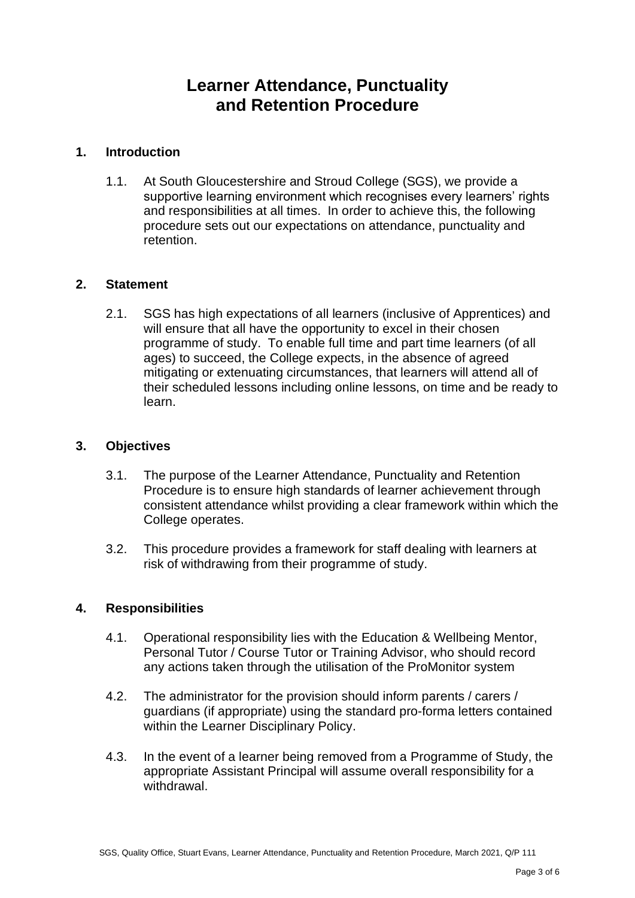## **Learner Attendance, Punctuality and Retention Procedure**

#### **1. Introduction**

1.1. At South Gloucestershire and Stroud College (SGS), we provide a supportive learning environment which recognises every learners' rights and responsibilities at all times. In order to achieve this, the following procedure sets out our expectations on attendance, punctuality and retention.

#### **2. Statement**

2.1. SGS has high expectations of all learners (inclusive of Apprentices) and will ensure that all have the opportunity to excel in their chosen programme of study. To enable full time and part time learners (of all ages) to succeed, the College expects, in the absence of agreed mitigating or extenuating circumstances, that learners will attend all of their scheduled lessons including online lessons, on time and be ready to learn.

#### **3. Objectives**

- 3.1. The purpose of the Learner Attendance, Punctuality and Retention Procedure is to ensure high standards of learner achievement through consistent attendance whilst providing a clear framework within which the College operates.
- 3.2. This procedure provides a framework for staff dealing with learners at risk of withdrawing from their programme of study.

### **4. Responsibilities**

- 4.1. Operational responsibility lies with the Education & Wellbeing Mentor, Personal Tutor / Course Tutor or Training Advisor, who should record any actions taken through the utilisation of the ProMonitor system
- 4.2. The administrator for the provision should inform parents / carers / guardians (if appropriate) using the standard pro-forma letters contained within the Learner Disciplinary Policy.
- 4.3. In the event of a learner being removed from a Programme of Study, the appropriate Assistant Principal will assume overall responsibility for a withdrawal.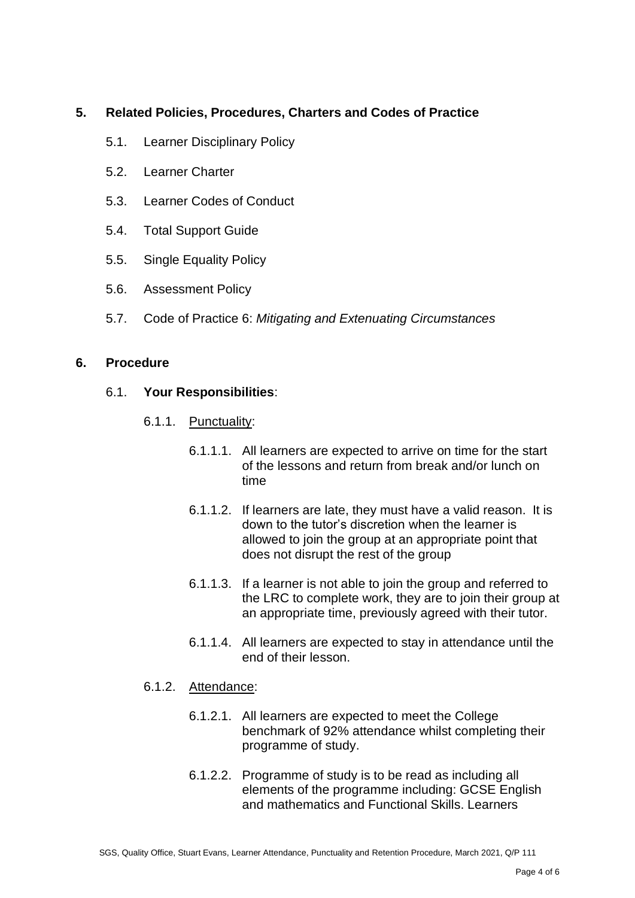#### **5. Related Policies, Procedures, Charters and Codes of Practice**

- 5.1. Learner Disciplinary Policy
- 5.2. Learner Charter
- 5.3. Learner Codes of Conduct
- 5.4. Total Support Guide
- 5.5. Single Equality Policy
- 5.6. Assessment Policy
- 5.7. Code of Practice 6: *Mitigating and Extenuating Circumstances*

#### **6. Procedure**

#### 6.1. **Your Responsibilities**:

- 6.1.1. Punctuality:
	- 6.1.1.1. All learners are expected to arrive on time for the start of the lessons and return from break and/or lunch on time
	- 6.1.1.2. If learners are late, they must have a valid reason. It is down to the tutor's discretion when the learner is allowed to join the group at an appropriate point that does not disrupt the rest of the group
	- 6.1.1.3. If a learner is not able to join the group and referred to the LRC to complete work, they are to join their group at an appropriate time, previously agreed with their tutor.
	- 6.1.1.4. All learners are expected to stay in attendance until the end of their lesson.

#### 6.1.2. Attendance:

- 6.1.2.1. All learners are expected to meet the College benchmark of 92% attendance whilst completing their programme of study.
- 6.1.2.2. Programme of study is to be read as including all elements of the programme including: GCSE English and mathematics and Functional Skills. Learners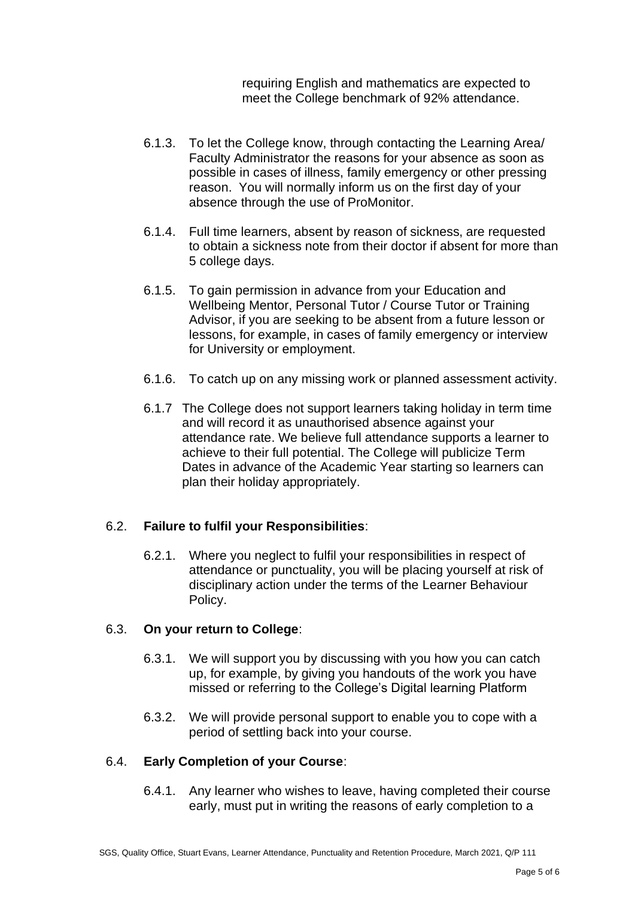requiring English and mathematics are expected to meet the College benchmark of 92% attendance.

- 6.1.3. To let the College know, through contacting the Learning Area/ Faculty Administrator the reasons for your absence as soon as possible in cases of illness, family emergency or other pressing reason. You will normally inform us on the first day of your absence through the use of ProMonitor.
- 6.1.4. Full time learners, absent by reason of sickness, are requested to obtain a sickness note from their doctor if absent for more than 5 college days.
- 6.1.5. To gain permission in advance from your Education and Wellbeing Mentor, Personal Tutor / Course Tutor or Training Advisor, if you are seeking to be absent from a future lesson or lessons, for example, in cases of family emergency or interview for University or employment.
- 6.1.6. To catch up on any missing work or planned assessment activity.
- 6.1.7 The College does not support learners taking holiday in term time and will record it as unauthorised absence against your attendance rate. We believe full attendance supports a learner to achieve to their full potential. The College will publicize Term Dates in advance of the Academic Year starting so learners can plan their holiday appropriately.

#### 6.2. **Failure to fulfil your Responsibilities**:

6.2.1. Where you neglect to fulfil your responsibilities in respect of attendance or punctuality, you will be placing yourself at risk of disciplinary action under the terms of the Learner Behaviour Policy.

#### 6.3. **On your return to College**:

- 6.3.1. We will support you by discussing with you how you can catch up, for example, by giving you handouts of the work you have missed or referring to the College's Digital learning Platform
- 6.3.2. We will provide personal support to enable you to cope with a period of settling back into your course.

### 6.4. **Early Completion of your Course**:

6.4.1. Any learner who wishes to leave, having completed their course early, must put in writing the reasons of early completion to a